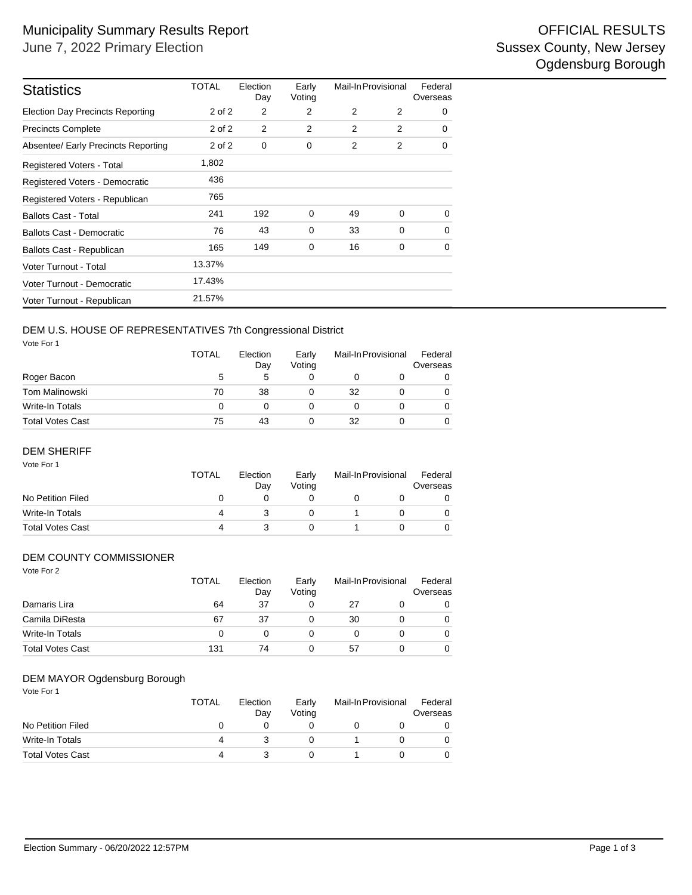| <b>Statistics</b>                       | TOTAL      | Election<br>Day | Early<br>Voting | Mail-In Provisional |             | Federal<br>Overseas |
|-----------------------------------------|------------|-----------------|-----------------|---------------------|-------------|---------------------|
| <b>Election Day Precincts Reporting</b> | 2 of 2     | 2               | 2               | 2                   | 2           | 0                   |
| <b>Precincts Complete</b>               | $2$ of $2$ | 2               | 2               | 2                   | 2           | 0                   |
| Absentee/ Early Precincts Reporting     | 2 of 2     | 0               | 0               | 2                   | 2           | 0                   |
| <b>Registered Voters - Total</b>        | 1,802      |                 |                 |                     |             |                     |
| Registered Voters - Democratic          | 436        |                 |                 |                     |             |                     |
| Registered Voters - Republican          | 765        |                 |                 |                     |             |                     |
| <b>Ballots Cast - Total</b>             | 241        | 192             | $\mathbf 0$     | 49                  | 0           | 0                   |
| <b>Ballots Cast - Democratic</b>        | 76         | 43              | $\mathbf 0$     | 33                  | $\mathbf 0$ | 0                   |
| Ballots Cast - Republican               | 165        | 149             | 0               | 16                  | $\mathbf 0$ | 0                   |
| Voter Turnout - Total                   | 13.37%     |                 |                 |                     |             |                     |
| Voter Turnout - Democratic              | 17.43%     |                 |                 |                     |             |                     |
| Voter Turnout - Republican              | 21.57%     |                 |                 |                     |             |                     |

## DEM U.S. HOUSE OF REPRESENTATIVES 7th Congressional District

Vote For 1

|                  | <b>TOTAL</b> | Election<br>Day | Early<br>Votina |    | Mail-In Provisional | Federal<br>Overseas |
|------------------|--------------|-----------------|-----------------|----|---------------------|---------------------|
| Roger Bacon      | 5            | 5               |                 |    |                     | 0                   |
| Tom Malinowski   | 70           | 38              |                 | 32 |                     | 0                   |
| Write-In Totals  | 0            |                 |                 |    |                     | $\Omega$            |
| Total Votes Cast | 75           | 43              |                 | 32 |                     | $\Omega$            |

#### DEM SHERIFF

| Vote For 1              | <b>TOTAL</b> | Election<br>Day | Early<br>Votina | Mail-In Provisional | Federal<br>Overseas |
|-------------------------|--------------|-----------------|-----------------|---------------------|---------------------|
| No Petition Filed       | O            |                 |                 |                     |                     |
| Write-In Totals         | 4            |                 |                 |                     |                     |
| <b>Total Votes Cast</b> | 4            |                 |                 |                     |                     |

#### DEM COUNTY COMMISSIONER

| Vote For 2              |              |                 |                 |                     |                     |
|-------------------------|--------------|-----------------|-----------------|---------------------|---------------------|
|                         | <b>TOTAL</b> | Election<br>Day | Early<br>Voting | Mail-In Provisional | Federal<br>Overseas |
| Damaris Lira            | 64           | 37              | 0               | 27                  | 0                   |
| Camila DiResta          | 67           | 37              | 0               | 30                  | 0                   |
| <b>Write-In Totals</b>  | $\Omega$     | 0               | 0               | 0                   | 0                   |
| <b>Total Votes Cast</b> | 131          | 74              | 0               | 57                  | 0                   |

#### DEM MAYOR Ogdensburg Borough

| Vote For 1              | <b>TOTAL</b> | Election<br>Day | Early<br>Voting | Mail-In Provisional | Federal<br>Overseas |
|-------------------------|--------------|-----------------|-----------------|---------------------|---------------------|
| No Petition Filed       |              |                 |                 |                     |                     |
| Write-In Totals         | 4            |                 |                 |                     |                     |
| <b>Total Votes Cast</b> | 4            |                 |                 |                     |                     |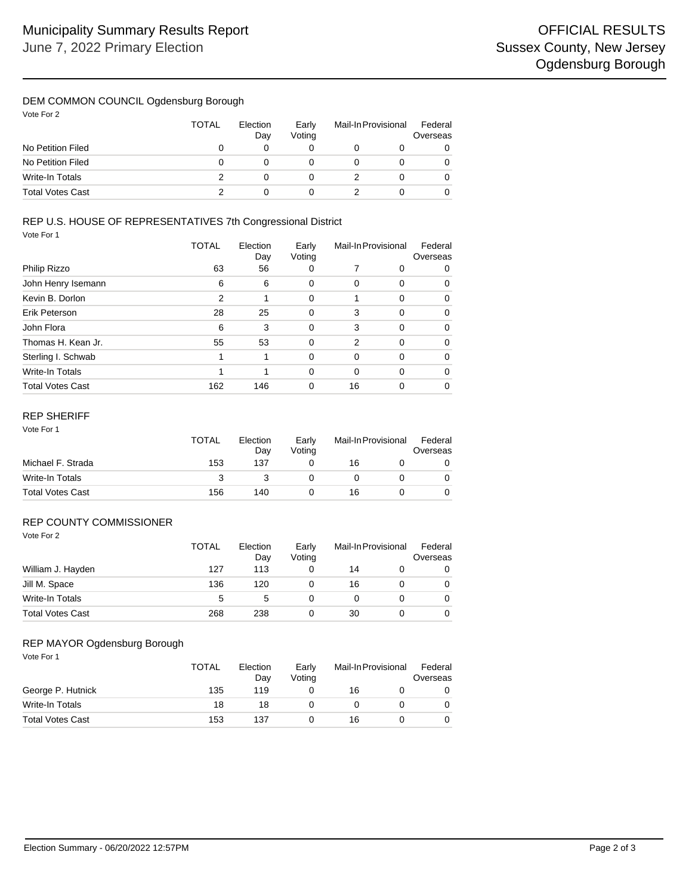## DEM COMMON COUNCIL Ogdensburg Borough

| Vote For 2 |  |  |
|------------|--|--|
|------------|--|--|

|                         | <b>TOTAL</b> | Election<br>Day | Early<br>Votina | Mail-In Provisional | Federal<br>Overseas |
|-------------------------|--------------|-----------------|-----------------|---------------------|---------------------|
| No Petition Filed       |              |                 |                 |                     | 0                   |
| No Petition Filed       |              |                 |                 |                     | 0                   |
| Write-In Totals         |              |                 |                 |                     | 0                   |
| <b>Total Votes Cast</b> |              |                 |                 |                     | 0                   |

# REP U.S. HOUSE OF REPRESENTATIVES 7th Congressional District

Vote For 1

|                         | <b>TOTAL</b> | Election<br>Day | Early<br>Voting | Mail-In Provisional |          | Federal<br>Overseas |
|-------------------------|--------------|-----------------|-----------------|---------------------|----------|---------------------|
| Philip Rizzo            | 63           | 56              | 0               |                     | 0        | 0                   |
| John Henry Isemann      | 6            | 6               | 0               | 0                   | $\Omega$ | 0                   |
| Kevin B. Dorlon         | 2            |                 | 0               | 1                   | $\Omega$ | 0                   |
| Erik Peterson           | 28           | 25              | 0               | 3                   | 0        | 0                   |
| John Flora              | 6            | 3               | $\Omega$        | 3                   | 0        | 0                   |
| Thomas H. Kean Jr.      | 55           | 53              | 0               | 2                   | $\Omega$ | 0                   |
| Sterling I. Schwab      |              |                 | $\Omega$        | $\Omega$            | $\Omega$ | 0                   |
| Write-In Totals         |              |                 | 0               | $\Omega$            | $\Omega$ | 0                   |
| <b>Total Votes Cast</b> | 162          | 146             | 0               | 16                  | 0        |                     |

#### REP SHERIFF

| Vote For 1              | TOTAL | Election<br>Day | Early<br>Voting | Mail-In Provisional |  | Federal<br>Overseas |
|-------------------------|-------|-----------------|-----------------|---------------------|--|---------------------|
| Michael F. Strada       | 153   | 137             |                 | 16                  |  | 0                   |
| Write-In Totals         | 3     |                 |                 |                     |  | 0                   |
| <b>Total Votes Cast</b> | 156   | 140             |                 | 16                  |  | 0                   |

#### Vote For 2 REP COUNTY COMMISSIONER

|                         | <b>TOTAL</b> | Election<br>Day |  | Mail-In Provisional |  |          |
|-------------------------|--------------|-----------------|--|---------------------|--|----------|
| William J. Hayden       | 127          | 113             |  | 14                  |  | 0        |
| Jill M. Space           | 136          | 120             |  | 16                  |  | $\Omega$ |
| Write-In Totals         | 5            | 5               |  |                     |  | $\Omega$ |
| <b>Total Votes Cast</b> | 268          | 238             |  | 30                  |  | $\Omega$ |

## REP MAYOR Ogdensburg Borough

| Vote For 1              | <b>TOTAL</b> | Election<br>Day | Early<br>Votina | Mail-In Provisional | Federal<br>Overseas |
|-------------------------|--------------|-----------------|-----------------|---------------------|---------------------|
| George P. Hutnick       | 135          | 119             |                 | 16                  | 0                   |
| Write-In Totals         | 18           | 18              |                 | 0                   | 0                   |
| <b>Total Votes Cast</b> | 153          | 137             |                 | 16                  | 0                   |